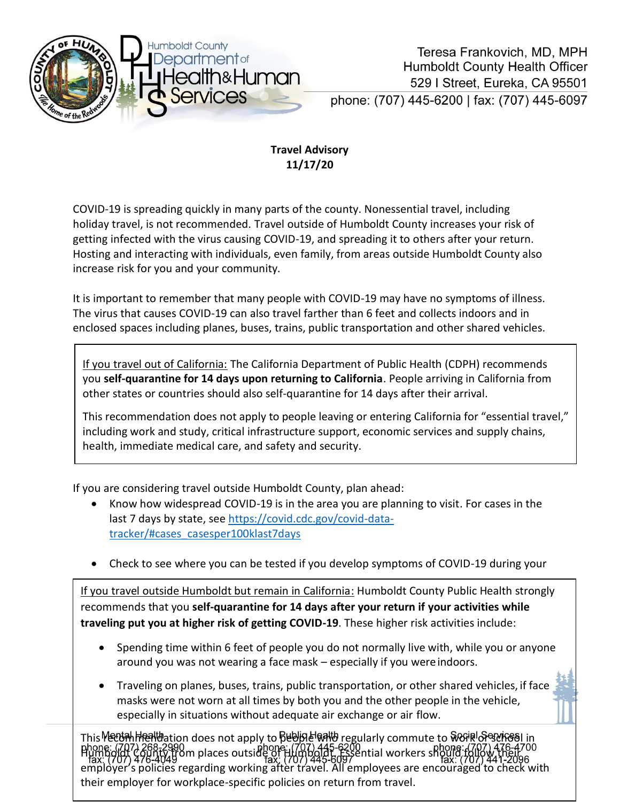

## **Travel Advisory 11/17/20**

COVID-19 is spreading quickly in many parts of the county. Nonessential travel, including holiday travel, is not recommended. Travel outside of Humboldt County increases your risk of getting infected with the virus causing COVID-19, and spreading it to others after your return. Hosting and interacting with individuals, even family, from areas outside Humboldt County also increase risk for you and your community.

It is important to remember that many people with COVID-19 may have no symptoms of illness. The virus that causes COVID-19 can also travel farther than 6 feet and collects indoors and in enclosed spaces including planes, buses, trains, public transportation and other shared vehicles.

If you travel out of California: The California Department of Public Health (CDPH) recommends you **self-quarantine for 14 days upon returning to California**. People arriving in California from other states or countries should also self-quarantine for 14 days after their arrival.

This recommendation does not apply to people leaving or entering California for "essential travel," including work and study, critical infrastructure support, economic services and supply chains, health, immediate medical care, and safety and security.

If you are considering travel outside Humboldt County, plan ahead:

- Know how widespread COVID-19 is in the area you are planning to visit. For cases in the last 7 days by state, see [https://covid.cdc.gov/covid-data](https://covid.cdc.gov/covid-data-tracker/#cases_casesper100klast7days)[tracker/#cases\\_casesper100klast7days](https://covid.cdc.gov/covid-data-tracker/#cases_casesper100klast7days)
- Check to see where you can be tested if you develop symptoms of COVID-19 during your

If you travel outside Humboldt but remain in California: Humboldt County Public Health strongly recommends that you **self-quarantine for 14 days after your return if your activities while traveling put you at higher risk of getting COVID-19**. These higher risk activities include:

- Spending time within 6 feet of people you do not normally live with, while you or anyone around you was not wearing a face mask – especially if you wereindoors.
- Traveling on planes, buses, trains, public transportation, or other shared vehicles, if face masks were not worn at all times by both you and the other people in the vehicle, especially in situations without adequate air exchange or air flow.

This **Me**<br>۲۸۶۱-۳۹۵ phone: ۲۸۶۱ people who regularly commute to work of the whole who regularly commute to work or school zoo-zyyu<br>Aunty from places outside of Humboldt. Essential workers sho<br>16-40490m employer's policies regarding working after travel. All employees are encouraged to check with their employer for workplace-specific policies on return from travel.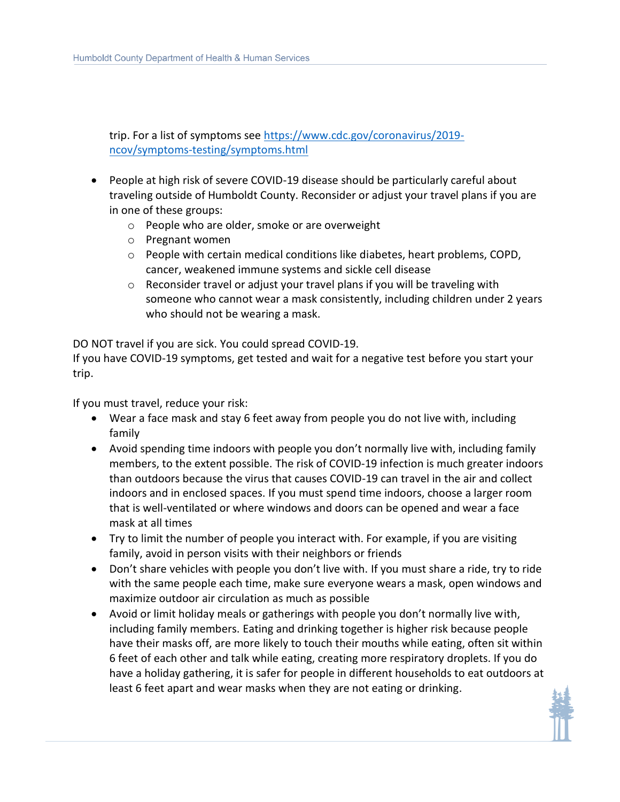trip. For a list of symptoms see [https://www.cdc.gov/coronavirus/2019](https://www.cdc.gov/coronavirus/2019-ncov/symptoms-testing/symptoms.html) [ncov/symptoms-testing/symptoms.html](https://www.cdc.gov/coronavirus/2019-ncov/symptoms-testing/symptoms.html)

- People at high risk of severe COVID-19 disease should be particularly careful about traveling outside of Humboldt County. Reconsider or adjust your travel plans if you are in one of these groups:
	- o People who are older, smoke or are overweight
	- o Pregnant women
	- $\circ$  People with certain medical conditions like diabetes, heart problems, COPD, cancer, weakened immune systems and sickle cell disease
	- o Reconsider travel or adjust your travel plans if you will be traveling with someone who cannot wear a mask consistently, including children under 2 years who should not be wearing a mask.

DO NOT travel if you are sick. You could spread COVID-19.

If you have COVID-19 symptoms, get tested and wait for a negative test before you start your trip.

If you must travel, reduce your risk:

- Wear a face mask and stay 6 feet away from people you do not live with, including family
- Avoid spending time indoors with people you don't normally live with, including family members, to the extent possible. The risk of COVID-19 infection is much greater indoors than outdoors because the virus that causes COVID-19 can travel in the air and collect indoors and in enclosed spaces. If you must spend time indoors, choose a larger room that is well-ventilated or where windows and doors can be opened and wear a face mask at all times
- Try to limit the number of people you interact with. For example, if you are visiting family, avoid in person visits with their neighbors or friends
- Don't share vehicles with people you don't live with. If you must share a ride, try to ride with the same people each time, make sure everyone wears a mask, open windows and maximize outdoor air circulation as much as possible
- Avoid or limit holiday meals or gatherings with people you don't normally live with, including family members. Eating and drinking together is higher risk because people have their masks off, are more likely to touch their mouths while eating, often sit within 6 feet of each other and talk while eating, creating more respiratory droplets. If you do have a holiday gathering, it is safer for people in different households to eat outdoors at least 6 feet apart and wear masks when they are not eating or drinking.